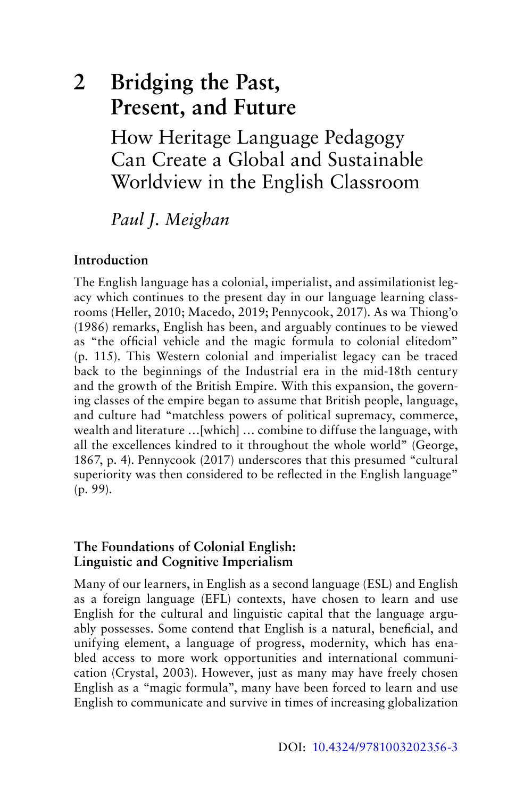# **2 Bridging the Past, Present, and Future**

How Heritage Language Pedagogy [Can Create a Global and Sustainable](#page--1-0)  Worldview in the English Classroom

*Paul J. Meighan*

# **Introduction**

The English language has a colonial, imperialist, and assimilationist legacy which continues to the present day in our language learning classrooms (Heller, 2010; Macedo, 2019; Pennycook, 2017). As wa Thiong'o (1986) remarks, English has been, and arguably continues to be viewed as "the official vehicle and the magic formula to colonial elitedom" (p. 115). This Western colonial and imperialist legacy can be traced back to the beginnings of the Industrial era in the mid-18th century and the growth of the British Empire. With this expansion, the governing classes of the empire began to assume that British people, language, and culture had "matchless powers of political supremacy, commerce, wealth and literature …[which] … combine to diffuse the language, with all the excellences kindred to it throughout the whole world" (George, 1867, p. 4). Pennycook (2017) underscores that this presumed "cultural superiority was then considered to be reflected in the English language" (p. 99).

## **The Foundations of Colonial English: Linguistic and Cognitive Imperialism**

Many of our learners, in English as a second language (ESL) and English as a foreign language (EFL) contexts, have chosen to learn and use English for the cultural and linguistic capital that the language arguably possesses. Some contend that English is a natural, beneficial, and unifying element, a language of progress, modernity, which has enabled access to more work opportunities and international communication (Crystal, 2003). However, just as many may have freely chosen English as a "magic formula", many have been forced to learn and use English to communicate and survive in times of increasing globalization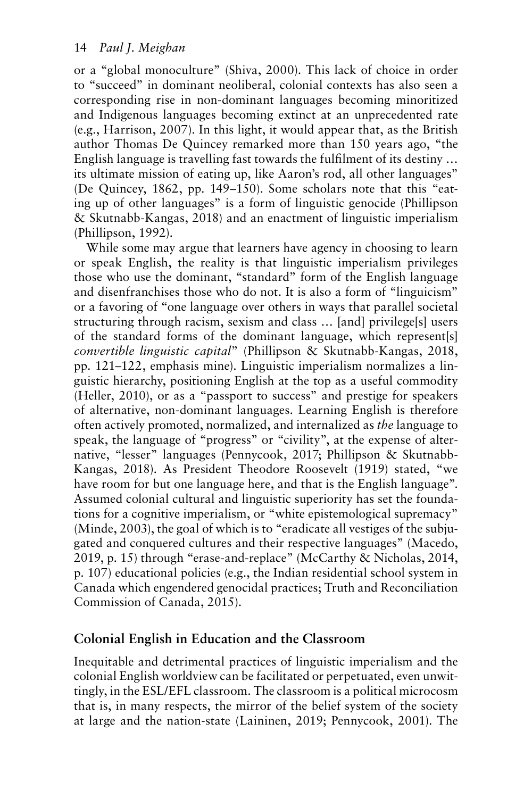or a "global monoculture" (Shiva, 2000). This lack of choice in order to "succeed" in dominant neoliberal, colonial contexts has also seen a corresponding rise in non-dominant languages becoming minoritized and Indigenous languages becoming extinct at an unprecedented rate (e.g., Harrison, 2007). In this light, it would appear that, as the British author Thomas De Quincey remarked more than 150 years ago, "the English language is travelling fast towards the fulfilment of its destiny … its ultimate mission of eating up, like Aaron's rod, all other languages" (De Quincey, 1862, pp. 149–150). Some scholars note that this "eating up of other languages" is a form of linguistic genocide (Phillipson & Skutnabb-Kangas, 2018) and an enactment of linguistic imperialism (Phillipson, 1992).

While some may argue that learners have agency in choosing to learn or speak English, the reality is that linguistic imperialism privileges those who use the dominant, "standard" form of the English language and disenfranchises those who do not. It is also a form of "linguicism" or a favoring of "one language over others in ways that parallel societal structuring through racism, sexism and class … [and] privilege[s] users of the standard forms of the dominant language, which represent[s] *convertible linguistic capital*" (Phillipson & Skutnabb-Kangas, 2018, pp. 121–122, emphasis mine). Linguistic imperialism normalizes a linguistic hierarchy, positioning English at the top as a useful commodity (Heller, 2010), or as a "passport to success" and prestige for speakers of alternative, non-dominant languages. Learning English is therefore often actively promoted, normalized, and internalized as *the* language to speak, the language of "progress" or "civility", at the expense of alternative, "lesser" languages (Pennycook, 2017; Phillipson & Skutnabb-Kangas, 2018). As President Theodore Roosevelt (1919) stated, "we have room for but one language here, and that is the English language". Assumed colonial cultural and linguistic superiority has set the foundations for a cognitive imperialism, or "white epistemological supremacy" (Minde, 2003), the goal of which is to "eradicate all vestiges of the subjugated and conquered cultures and their respective languages" (Macedo, 2019, p. 15) through "erase-and-replace" (McCarthy & Nicholas, 2014, p. 107) educational policies (e.g., the Indian residential school system in Canada which engendered genocidal practices; Truth and Reconciliation Commission of Canada, 2015).

# **Colonial English in Education and the Classroom**

Inequitable and detrimental practices of linguistic imperialism and the colonial English worldview can be facilitated or perpetuated, even unwittingly, in the ESL/EFL classroom. The classroom is a political microcosm that is, in many respects, the mirror of the belief system of the society at large and the nation-state (Laininen, 2019; Pennycook, 2001). The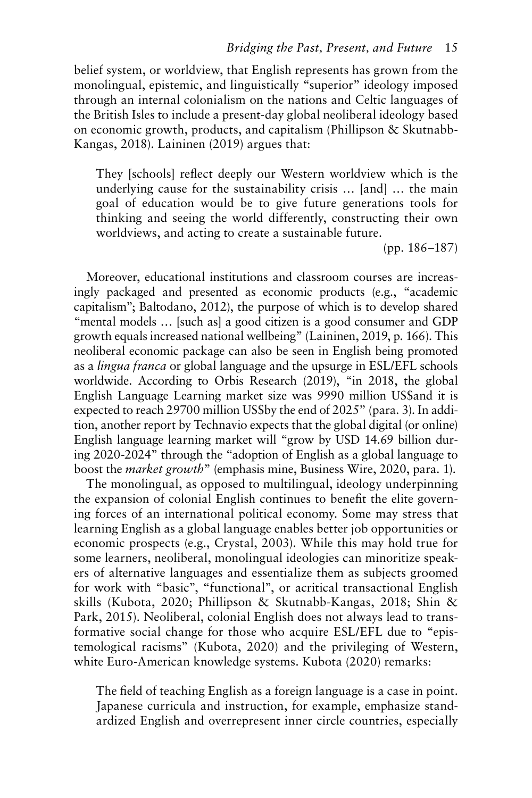belief system, or worldview, that English represents has grown from the monolingual, epistemic, and linguistically "superior" ideology imposed through an internal colonialism on the nations and Celtic languages of the British Isles to include a present-day global neoliberal ideology based on economic growth, products, and capitalism (Phillipson & Skutnabb-Kangas, 2018). Laininen (2019) argues that:

They [schools] reflect deeply our Western worldview which is the underlying cause for the sustainability crisis … [and] … the main goal of education would be to give future generations tools for thinking and seeing the world differently, constructing their own worldviews, and acting to create a sustainable future.

(pp. 186–187)

Moreover, educational institutions and classroom courses are increasingly packaged and presented as economic products (e.g., "academic capitalism"; Baltodano, 2012), the purpose of which is to develop shared "mental models … [such as] a good citizen is a good consumer and GDP growth equals increased national wellbeing" (Laininen, 2019, p. 166). This neoliberal economic package can also be seen in English being promoted as a *lingua franca* or global language and the upsurge in ESL/EFL schools worldwide. According to Orbis Research (2019), "in 2018, the global English Language Learning market size was 9990 million US\$and it is expected to reach 29700 million US\$by the end of 2025" (para. 3). In addition, another report by Technavio expects that the global digital (or online) English language learning market will "grow by USD 14.69 billion during 2020-2024" through the "adoption of English as a global language to boost the *market growth*" (emphasis mine, Business Wire, 2020, para. 1).

The monolingual, as opposed to multilingual, ideology underpinning the expansion of colonial English continues to benefit the elite governing forces of an international political economy. Some may stress that learning English as a global language enables better job opportunities or economic prospects (e.g., Crystal, 2003). While this may hold true for some learners, neoliberal, monolingual ideologies can minoritize speakers of alternative languages and essentialize them as subjects groomed for work with "basic", "functional", or acritical transactional English skills (Kubota, 2020; Phillipson & Skutnabb-Kangas, 2018; Shin & Park, 2015). Neoliberal, colonial English does not always lead to transformative social change for those who acquire ESL/EFL due to "epistemological racisms" (Kubota, 2020) and the privileging of Western, white Euro-American knowledge systems. Kubota (2020) remarks:

The field of teaching English as a foreign language is a case in point. Japanese curricula and instruction, for example, emphasize standardized English and overrepresent inner circle countries, especially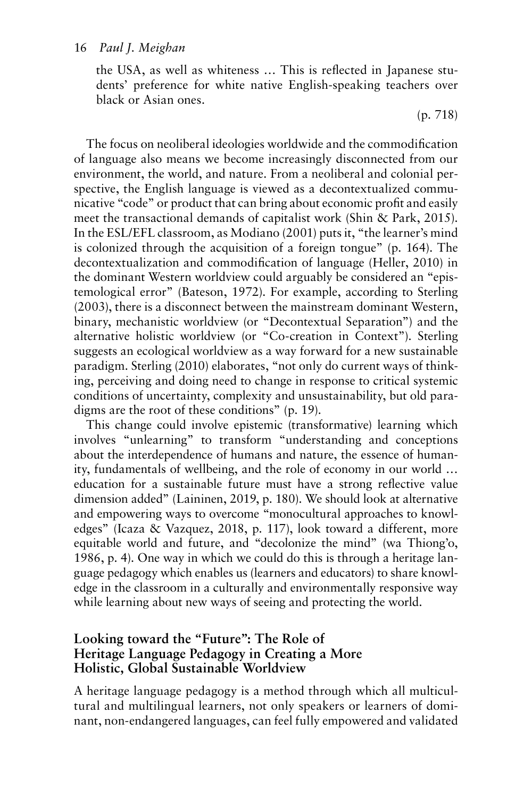the USA, as well as whiteness … This is reflected in Japanese students' preference for white native English-speaking teachers over black or Asian ones.

(p. 718)

The focus on neoliberal ideologies worldwide and the commodification of language also means we become increasingly disconnected from our environment, the world, and nature. From a neoliberal and colonial perspective, the English language is viewed as a decontextualized communicative "code" or product that can bring about economic profit and easily meet the transactional demands of capitalist work (Shin & Park, 2015). In the ESL/EFL classroom, as Modiano (2001) puts it, "the learner's mind is colonized through the acquisition of a foreign tongue" (p. 164). The decontextualization and commodification of language (Heller, 2010) in the dominant Western worldview could arguably be considered an "epistemological error" (Bateson, 1972). For example, according to Sterling (2003), there is a disconnect between the mainstream dominant Western, binary, mechanistic worldview (or "Decontextual Separation") and the alternative holistic worldview (or "Co-creation in Context"). Sterling suggests an ecological worldview as a way forward for a new sustainable paradigm. Sterling (2010) elaborates, "not only do current ways of thinking, perceiving and doing need to change in response to critical systemic conditions of uncertainty, complexity and unsustainability, but old paradigms are the root of these conditions" (p. 19).

This change could involve epistemic (transformative) learning which involves "unlearning" to transform "understanding and conceptions about the interdependence of humans and nature, the essence of humanity, fundamentals of wellbeing, and the role of economy in our world … education for a sustainable future must have a strong reflective value dimension added" (Laininen, 2019, p. 180). We should look at alternative and empowering ways to overcome "monocultural approaches to knowledges" (Icaza & Vazquez, 2018, p. 117), look toward a different, more equitable world and future, and "decolonize the mind" (wa Thiong'o, 1986, p. 4). One way in which we could do this is through a heritage language pedagogy which enables us (learners and educators) to share knowledge in the classroom in a culturally and environmentally responsive way while learning about new ways of seeing and protecting the world.

## **Looking toward the "Future": The Role of Heritage Language Pedagogy in Creating a More Holistic, Global Sustainable Worldview**

A heritage language pedagogy is a method through which all multicultural and multilingual learners, not only speakers or learners of dominant, non-endangered languages, can feel fully empowered and validated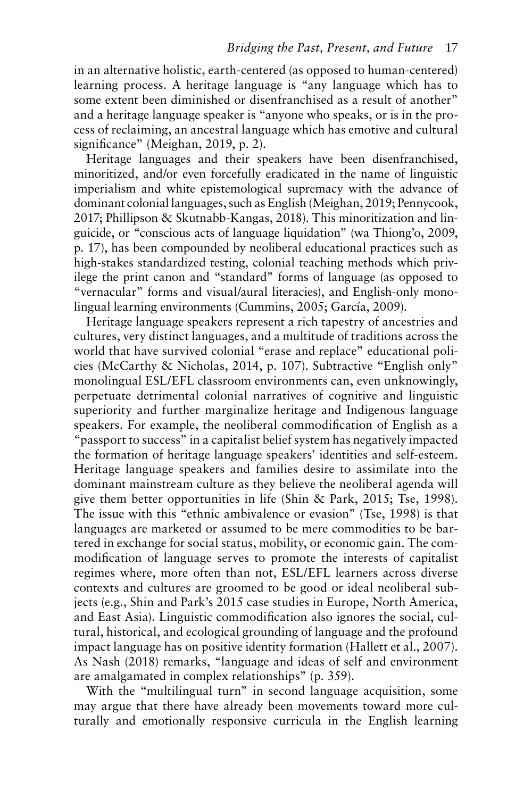in an alternative holistic, earth-centered (as opposed to human-centered) learning process. A heritage language is "any language which has to some extent been diminished or disenfranchised as a result of another" and a heritage language speaker is "anyone who speaks, or is in the process of reclaiming, an ancestral language which has emotive and cultural significance" (Meighan, 2019, p. 2).

Heritage languages and their speakers have been disenfranchised, minoritized, and/or even forcefully eradicated in the name of linguistic imperialism and white epistemological supremacy with the advance of dominant colonial languages, such as English (Meighan, 2019; Pennycook, 2017; Phillipson & Skutnabb-Kangas, 2018). This minoritization and linguicide, or "conscious acts of language liquidation" (wa Thiong'o, 2009, p. 17), has been compounded by neoliberal educational practices such as high-stakes standardized testing, colonial teaching methods which privilege the print canon and "standard" forms of language (as opposed to "vernacular" forms and visual/aural literacies), and English-only monolingual learning environments (Cummins, 2005; García, 2009).

Heritage language speakers represent a rich tapestry of ancestries and cultures, very distinct languages, and a multitude of traditions across the world that have survived colonial "erase and replace" educational policies (McCarthy & Nicholas, 2014, p. 107). Subtractive "English only" monolingual ESL/EFL classroom environments can, even unknowingly, perpetuate detrimental colonial narratives of cognitive and linguistic superiority and further marginalize heritage and Indigenous language speakers. For example, the neoliberal commodification of English as a "passport to success" in a capitalist belief system has negatively impacted the formation of heritage language speakers' identities and self-esteem. Heritage language speakers and families desire to assimilate into the dominant mainstream culture as they believe the neoliberal agenda will give them better opportunities in life (Shin & Park, 2015; Tse, 1998). The issue with this "ethnic ambivalence or evasion" (Tse, 1998) is that languages are marketed or assumed to be mere commodities to be bartered in exchange for social status, mobility, or economic gain. The commodification of language serves to promote the interests of capitalist regimes where, more often than not, ESL/EFL learners across diverse contexts and cultures are groomed to be good or ideal neoliberal subjects (e.g., Shin and Park's 2015 case studies in Europe, North America, and East Asia). Linguistic commodification also ignores the social, cultural, historical, and ecological grounding of language and the profound impact language has on positive identity formation (Hallett et al., 2007). As Nash (2018) remarks, "language and ideas of self and environment are amalgamated in complex relationships" (p. 359).

With the "multilingual turn" in second language acquisition, some may argue that there have already been movements toward more culturally and emotionally responsive curricula in the English learning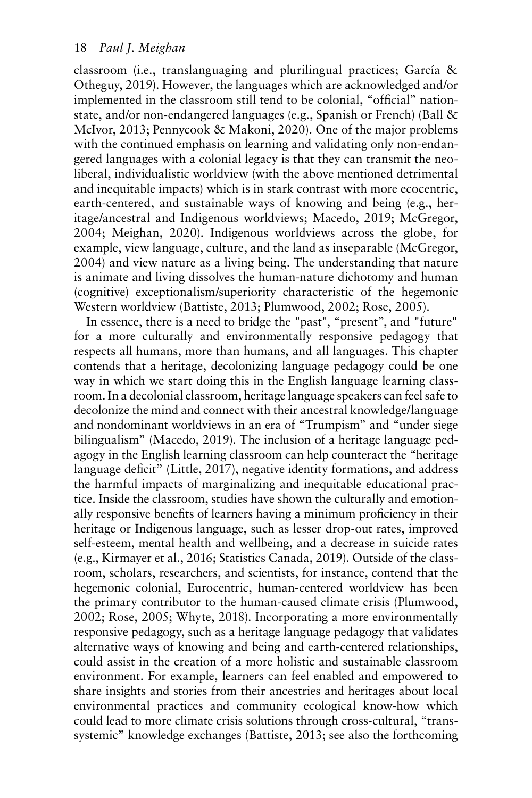classroom (i.e., translanguaging and plurilingual practices; García & Otheguy, 2019). However, the languages which are acknowledged and/or implemented in the classroom still tend to be colonial, "official" nationstate, and/or non-endangered languages (e.g., Spanish or French) (Ball & McIvor, 2013; Pennycook & Makoni, 2020). One of the major problems with the continued emphasis on learning and validating only non-endangered languages with a colonial legacy is that they can transmit the neoliberal, individualistic worldview (with the above mentioned detrimental and inequitable impacts) which is in stark contrast with more ecocentric, earth-centered, and sustainable ways of knowing and being (e.g., heritage/ancestral and Indigenous worldviews; Macedo, 2019; McGregor, 2004; Meighan, 2020). Indigenous worldviews across the globe, for example, view language, culture, and the land as inseparable (McGregor, 2004) and view nature as a living being. The understanding that nature is animate and living dissolves the human-nature dichotomy and human (cognitive) exceptionalism/superiority characteristic of the hegemonic Western worldview (Battiste, 2013; Plumwood, 2002; Rose, 2005).

In essence, there is a need to bridge the "past", "present", and "future" for a more culturally and environmentally responsive pedagogy that respects all humans, more than humans, and all languages. This chapter contends that a heritage, decolonizing language pedagogy could be one way in which we start doing this in the English language learning classroom. In a decolonial classroom, heritage language speakers can feel safe to decolonize the mind and connect with their ancestral knowledge/language and nondominant worldviews in an era of "Trumpism" and "under siege bilingualism" (Macedo, 2019). The inclusion of a heritage language pedagogy in the English learning classroom can help counteract the "heritage language deficit" (Little, 2017), negative identity formations, and address the harmful impacts of marginalizing and inequitable educational practice. Inside the classroom, studies have shown the culturally and emotionally responsive benefits of learners having a minimum proficiency in their heritage or Indigenous language, such as lesser drop-out rates, improved self-esteem, mental health and wellbeing, and a decrease in suicide rates (e.g., Kirmayer et al., 2016; Statistics Canada, 2019). Outside of the classroom, scholars, researchers, and scientists, for instance, contend that the hegemonic colonial, Eurocentric, human-centered worldview has been the primary contributor to the human-caused climate crisis (Plumwood, 2002; Rose, 2005; Whyte, 2018). Incorporating a more environmentally responsive pedagogy, such as a heritage language pedagogy that validates alternative ways of knowing and being and earth-centered relationships, could assist in the creation of a more holistic and sustainable classroom environment. For example, learners can feel enabled and empowered to share insights and stories from their ancestries and heritages about local environmental practices and community ecological know-how which could lead to more climate crisis solutions through cross-cultural, "transsystemic" knowledge exchanges (Battiste, 2013; see also the forthcoming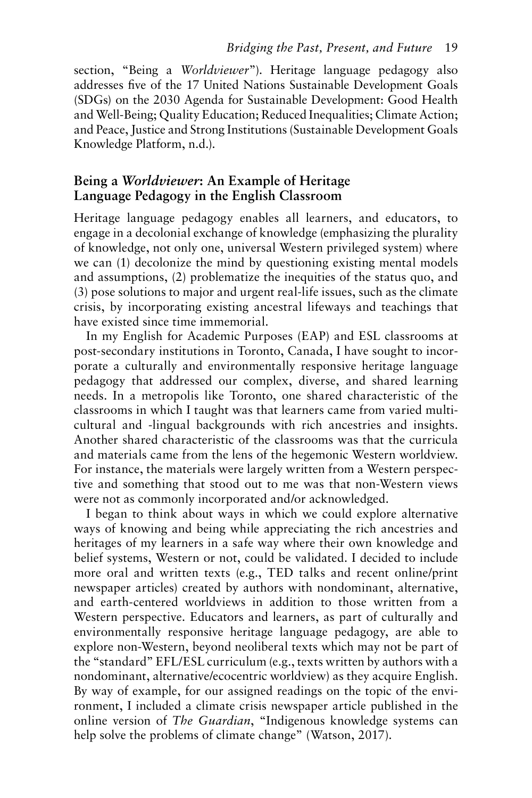section, "Being a *Worldviewer*"). Heritage language pedagogy also addresses five of the 17 United Nations Sustainable Development Goals (SDGs) on the 2030 Agenda for Sustainable Development: Good Health and Well-Being; Quality Education; Reduced Inequalities; Climate Action; and Peace, Justice and Strong Institutions (Sustainable Development Goals Knowledge Platform, n.d.).

## **Being a** *Worldviewer***: An Example of Heritage Language Pedagogy in the English Classroom**

Heritage language pedagogy enables all learners, and educators, to engage in a decolonial exchange of knowledge (emphasizing the plurality of knowledge, not only one, universal Western privileged system) where we can (1) decolonize the mind by questioning existing mental models and assumptions, (2) problematize the inequities of the status quo, and (3) pose solutions to major and urgent real-life issues, such as the climate crisis, by incorporating existing ancestral lifeways and teachings that have existed since time immemorial.

In my English for Academic Purposes (EAP) and ESL classrooms at post-secondary institutions in Toronto, Canada, I have sought to incorporate a culturally and environmentally responsive heritage language pedagogy that addressed our complex, diverse, and shared learning needs. In a metropolis like Toronto, one shared characteristic of the classrooms in which I taught was that learners came from varied multicultural and -lingual backgrounds with rich ancestries and insights. Another shared characteristic of the classrooms was that the curricula and materials came from the lens of the hegemonic Western worldview. For instance, the materials were largely written from a Western perspective and something that stood out to me was that non-Western views were not as commonly incorporated and/or acknowledged.

I began to think about ways in which we could explore alternative ways of knowing and being while appreciating the rich ancestries and heritages of my learners in a safe way where their own knowledge and belief systems, Western or not, could be validated. I decided to include more oral and written texts (e.g., TED talks and recent online/print newspaper articles) created by authors with nondominant, alternative, and earth-centered worldviews in addition to those written from a Western perspective. Educators and learners, as part of culturally and environmentally responsive heritage language pedagogy, are able to explore non-Western, beyond neoliberal texts which may not be part of the "standard" EFL/ESL curriculum (e.g., texts written by authors with a nondominant, alternative/ecocentric worldview) as they acquire English. By way of example, for our assigned readings on the topic of the environment, I included a climate crisis newspaper article published in the online version of *The Guardian*, "Indigenous knowledge systems can help solve the problems of climate change" (Watson, 2017).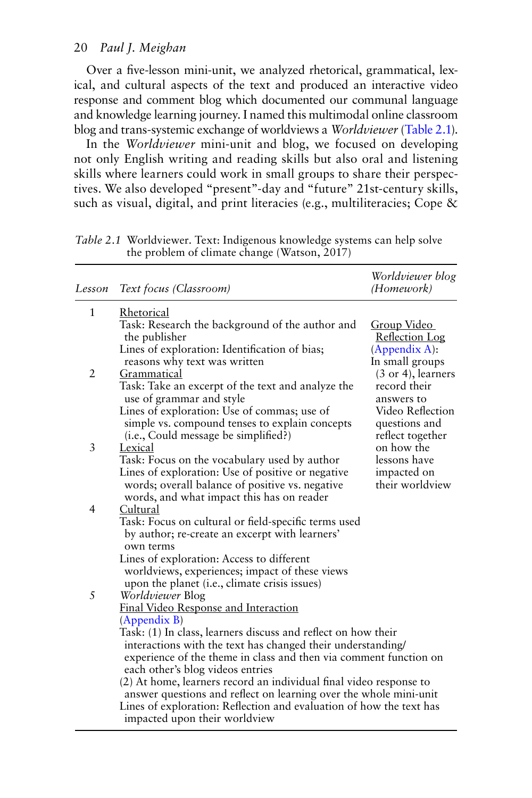Over a five-lesson mini-unit, we analyzed rhetorical, grammatical, lexical, and cultural aspects of the text and produced an interactive video response and comment blog which documented our communal language and knowledge learning journey. I named this multimodal online classroom blog and trans-systemic exchange of worldviews a *Worldviewer* (Table 2.1).

In the *Worldviewer* mini-unit and blog, we focused on developing not only English writing and reading skills but also oral and listening skills where learners could work in small groups to share their perspectives. We also developed "present"-day and "future" 21st-century skills, such as visual, digital, and print literacies (e.g., multiliteracies; Cope &

| Lesson         | Text focus (Classroom)                                                                                                                                                                                                                                                                                      | Worldviewer blog<br>(Homework)                               |  |  |  |
|----------------|-------------------------------------------------------------------------------------------------------------------------------------------------------------------------------------------------------------------------------------------------------------------------------------------------------------|--------------------------------------------------------------|--|--|--|
| $\mathbf{1}$   | Rhetorical<br>Task: Research the background of the author and<br>the publisher                                                                                                                                                                                                                              | Group Video                                                  |  |  |  |
|                | Lines of exploration: Identification of bias;<br>reasons why text was written                                                                                                                                                                                                                               | <b>Reflection Log</b><br>(Appendix A):<br>In small groups    |  |  |  |
| $\overline{2}$ | Grammatical<br>Task: Take an excerpt of the text and analyze the<br>use of grammar and style                                                                                                                                                                                                                | (3 or 4), learners<br>record their<br>answers to             |  |  |  |
|                | Lines of exploration: Use of commas; use of<br>simple vs. compound tenses to explain concepts<br>(i.e., Could message be simplified?)                                                                                                                                                                       | Video Reflection<br>questions and<br>reflect together        |  |  |  |
| 3              | Lexical<br>Task: Focus on the vocabulary used by author<br>Lines of exploration: Use of positive or negative<br>words; overall balance of positive vs. negative                                                                                                                                             | on how the<br>lessons have<br>impacted on<br>their worldview |  |  |  |
| $\overline{4}$ | words, and what impact this has on reader<br>Cultural                                                                                                                                                                                                                                                       |                                                              |  |  |  |
|                | Task: Focus on cultural or field-specific terms used<br>by author; re-create an excerpt with learners'<br>own terms                                                                                                                                                                                         |                                                              |  |  |  |
|                | Lines of exploration: Access to different<br>worldviews, experiences; impact of these views<br>upon the planet ( <i>i.e.</i> , climate crisis issues)                                                                                                                                                       |                                                              |  |  |  |
| 5              | <i>Worldviewer</i> Blog<br><b>Final Video Response and Interaction</b><br>(Appendix B)                                                                                                                                                                                                                      |                                                              |  |  |  |
|                | Task: (1) In class, learners discuss and reflect on how their<br>interactions with the text has changed their understanding/<br>experience of the theme in class and then via comment function on<br>each other's blog videos entries<br>(2) At home, learners record an individual final video response to |                                                              |  |  |  |
|                | answer questions and reflect on learning over the whole mini-unit<br>Lines of exploration: Reflection and evaluation of how the text has<br>impacted upon their worldview                                                                                                                                   |                                                              |  |  |  |

*Table 2.1* Worldviewer. Text: Indigenous knowledge systems can help solve the problem of climate change (Watson, 2017)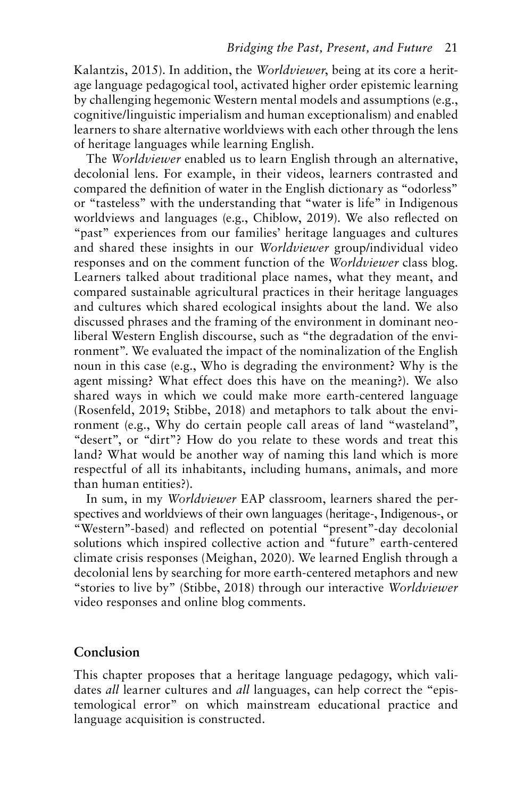Kalantzis, 2015). In addition, the *Worldviewer*, being at its core a heritage language pedagogical tool, activated higher order epistemic learning by challenging hegemonic Western mental models and assumptions (e.g., cognitive/linguistic imperialism and human exceptionalism) and enabled learners to share alternative worldviews with each other through the lens of heritage languages while learning English.

The *Worldviewer* enabled us to learn English through an alternative, decolonial lens. For example, in their videos, learners contrasted and compared the definition of water in the English dictionary as "odorless" or "tasteless" with the understanding that "water is life" in Indigenous worldviews and languages (e.g., Chiblow, 2019). We also reflected on "past" experiences from our families' heritage languages and cultures and shared these insights in our *Worldviewer* group/individual video responses and on the comment function of the *Worldviewer* class blog. Learners talked about traditional place names, what they meant, and compared sustainable agricultural practices in their heritage languages and cultures which shared ecological insights about the land. We also discussed phrases and the framing of the environment in dominant neoliberal Western English discourse, such as "the degradation of the environment". We evaluated the impact of the nominalization of the English noun in this case (e.g., Who is degrading the environment? Why is the agent missing? What effect does this have on the meaning?). We also shared ways in which we could make more earth-centered language (Rosenfeld, 2019; Stibbe, 2018) and metaphors to talk about the environment (e.g., Why do certain people call areas of land "wasteland", "desert", or "dirt"? How do you relate to these words and treat this land? What would be another way of naming this land which is more respectful of all its inhabitants, including humans, animals, and more than human entities?).

In sum, in my *Worldviewer* EAP classroom, learners shared the perspectives and worldviews of their own languages (heritage-, Indigenous-, or "Western"-based) and reflected on potential "present"-day decolonial solutions which inspired collective action and "future" earth-centered climate crisis responses (Meighan, 2020). We learned English through a decolonial lens by searching for more earth-centered metaphors and new "stories to live by" (Stibbe, 2018) through our interactive *Worldviewer* video responses and online blog comments.

#### **Conclusion**

This chapter proposes that a heritage language pedagogy, which validates *all* learner cultures and *all* languages, can help correct the "epistemological error" on which mainstream educational practice and language acquisition is constructed.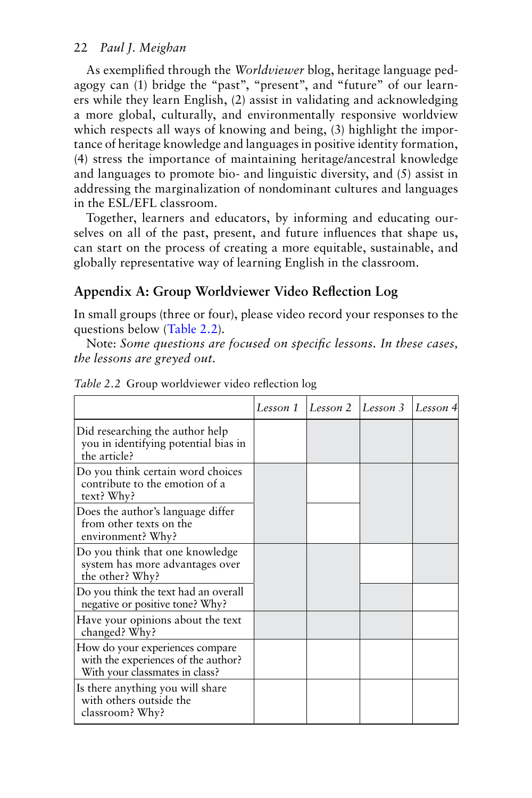As exemplified through the *Worldviewer* blog, heritage language pedagogy can (1) bridge the "past", "present", and "future" of our learners while they learn English, (2) assist in validating and acknowledging a more global, culturally, and environmentally responsive worldview which respects all ways of knowing and being, (3) highlight the importance of heritage knowledge and languages in positive identity formation, (4) stress the importance of maintaining heritage/ancestral knowledge and languages to promote bio- and linguistic diversity, and (5) assist in addressing the marginalization of nondominant cultures and languages in the ESL/EFL classroom.

Together, learners and educators, by informing and educating ourselves on all of the past, present, and future influences that shape us, can start on the process of creating a more equitable, sustainable, and globally representative way of learning English in the classroom.

# **Appendix A: Group Worldviewer Video Reflection Log**

In small groups (three or four), please video record your responses to the questions below (Table 2.2).

Note: *Some questions are focused on specific lessons. In these cases, the lessons are greyed out.*

|                                                                                                          | Lesson 1 | Lesson 2 | Lesson 3 | Lesson 4 |
|----------------------------------------------------------------------------------------------------------|----------|----------|----------|----------|
| Did researching the author help<br>you in identifying potential bias in<br>the article?                  |          |          |          |          |
| Do you think certain word choices<br>contribute to the emotion of a<br>text? Why?                        |          |          |          |          |
| Does the author's language differ<br>from other texts on the<br>environment? Why?                        |          |          |          |          |
| Do you think that one knowledge<br>system has more advantages over<br>the other? Why?                    |          |          |          |          |
| Do you think the text had an overall<br>negative or positive tone? Why?                                  |          |          |          |          |
| Have your opinions about the text<br>changed? Why?                                                       |          |          |          |          |
| How do your experiences compare<br>with the experiences of the author?<br>With your classmates in class? |          |          |          |          |
| Is there anything you will share<br>with others outside the<br>classroom? Why?                           |          |          |          |          |

*Table 2.2* Group worldviewer video reflection log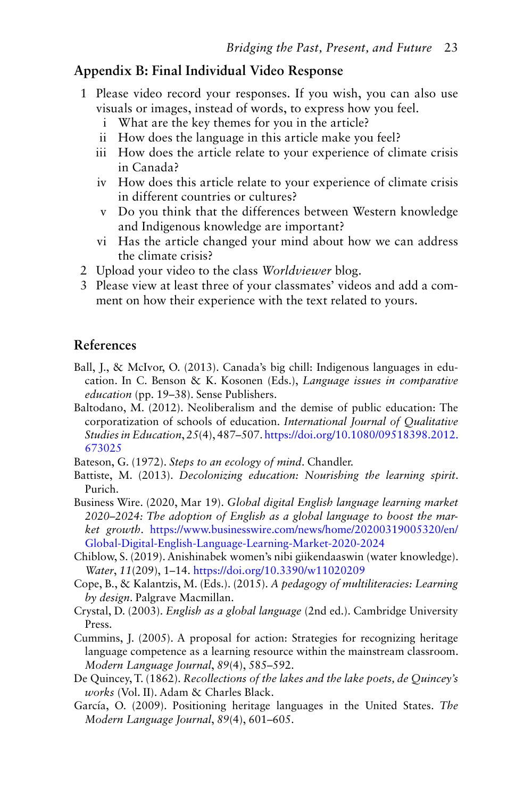## **Appendix B: Final Individual Video Response**

- 1 Please video record your responses. If you wish, you can also use visuals or images, instead of words, to express how you feel.
	- i What are the key themes for you in the article?
	- ii How does the language in this article make you feel?
	- iii How does the article relate to your experience of climate crisis in Canada?
	- iv How does this article relate to your experience of climate crisis in different countries or cultures?
	- v Do you think that the differences between Western knowledge and Indigenous knowledge are important?
	- vi Has the article changed your mind about how we can address the climate crisis?
- 2 Upload your video to the class *Worldviewer* blog.
- 3 Please view at least three of your classmates' videos and add a comment on how their experience with the text related to yours.

## **References**

- Ball, J., & McIvor, O. (2013). Canada's big chill: Indigenous languages in education. In C. Benson & K. Kosonen (Eds.), *Language issues in comparative education* (pp. 19–38). Sense Publishers.
- Baltodano, M. (2012). Neoliberalism and the demise of public education: The corporatization of schools of education. *International Journal of Qualitative Studies in Education*, *25*(4), 487–507. [https://doi.org/10.1080/09518398.2012.](https://doi.org/10.1080/09518398.2012.673025) [673025](https://doi.org/10.1080/09518398.2012.673025)

Bateson, G. (1972). *Steps to an ecology of mind*. Chandler.

- Battiste, M. (2013). *Decolonizing education: Nourishing the learning spirit*. Purich.
- Business Wire. (2020, Mar 19). *Global digital English language learning market 2020–2024: The adoption of English as a global language to boost the market growth*. [https://www.businesswire.com/news/home/20200319005320/en/](https://www.businesswire.com) [Global-Digital-English-Language-Learning-Market-2020-2024](https://www.businesswire.com)
- Chiblow, S. (2019). Anishinabek women's nibi giikendaaswin (water knowledge). *Water*, *11*(209), 1–14. <https://doi.org/10.3390/w11020209>
- Cope, B., & Kalantzis, M. (Eds.). (2015). *A pedagogy of multiliteracies: Learning by design*. Palgrave Macmillan.
- Crystal, D. (2003). *English as a global language* (2nd ed.). Cambridge University Press.
- Cummins, J. (2005). A proposal for action: Strategies for recognizing heritage language competence as a learning resource within the mainstream classroom. *Modern Language Journal*, *89*(4), 585–592.
- De Quincey, T. (1862). *Recollections of the lakes and the lake poets, de Quincey's works* (Vol. II). Adam & Charles Black.
- García, O. (2009). Positioning heritage languages in the United States. *The Modern Language Journal*, *89*(4), 601–605.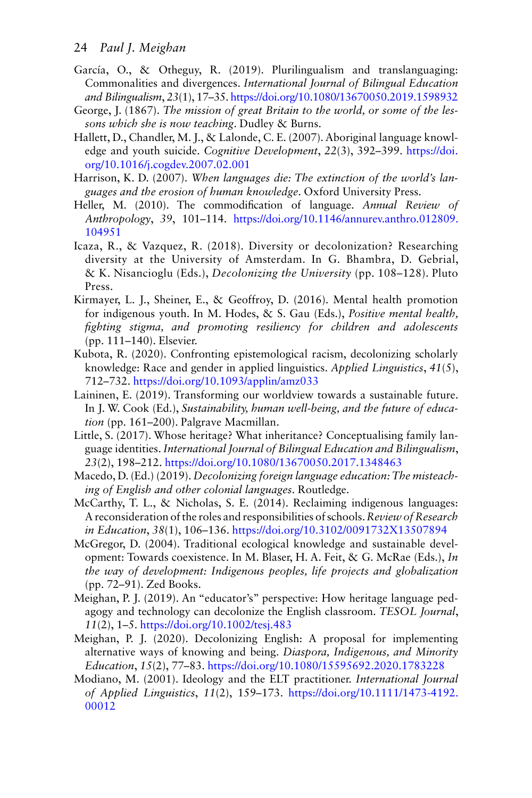- García, O., & Otheguy, R. (2019). Plurilingualism and translanguaging: Commonalities and divergences. *International Journal of Bilingual Education and Bilingualism*, *23*(1), 17–35.<https://doi.org/10.1080/13670050.2019.1598932>
- George, J. (1867). *The mission of great Britain to the world, or some of the lessons which she is now teaching*. Dudley & Burns.
- Hallett, D., Chandler, M. J., & Lalonde, C. E. (2007). Aboriginal language knowledge and youth suicide. *Cognitive Development*, *22*(3), 392–399. [https://doi.](https://doi.org/10.1016/j.cogdev.2007.02.001) [org/10.1016/j.cogdev.2007.02.001](https://doi.org/10.1016/j.cogdev.2007.02.001)
- Harrison, K. D. (2007). *When languages die: The extinction of the world's languages and the erosion of human knowledge*. Oxford University Press.
- Heller, M. (2010). The commodification of language. *Annual Review of Anthropology*, *39*, 101–114. [https://doi.org/10.1146/annurev.anthro.012809.](https://doi.org/10.1146/annurev.anthro.012809.104951) [104951](https://doi.org/10.1146/annurev.anthro.012809.104951)
- Icaza, R., & Vazquez, R. (2018). Diversity or decolonization? Researching diversity at the University of Amsterdam. In G. Bhambra, D. Gebrial, & K. Nisancioglu (Eds.), *Decolonizing the University* (pp. 108–128). Pluto Press.
- Kirmayer, L. J., Sheiner, E., & Geoffroy, D. (2016). Mental health promotion for indigenous youth. In M. Hodes, & S. Gau (Eds.), *Positive mental health, fighting stigma, and promoting resiliency for children and adolescents* (pp. 111–140). Elsevier.
- Kubota, R. (2020). Confronting epistemological racism, decolonizing scholarly knowledge: Race and gender in applied linguistics. *Applied Linguistics*, *41*(5), 712–732.<https://doi.org/10.1093/applin/amz033>
- Laininen, E. (2019). Transforming our worldview towards a sustainable future. In J. W. Cook (Ed.), *Sustainability, human well-being, and the future of education* (pp. 161–200). Palgrave Macmillan.
- Little, S. (2017). Whose heritage? What inheritance? Conceptualising family language identities. *International Journal of Bilingual Education and Bilingualism*, *23*(2), 198–212. <https://doi.org/10.1080/13670050.2017.1348463>
- Macedo, D. (Ed.) (2019). *Decolonizing foreign language education: The misteaching of English and other colonial languages*. Routledge.
- McCarthy, T. L., & Nicholas, S. E. (2014). Reclaiming indigenous languages: A reconsideration of the roles and responsibilities of schools. *Review of Research in Education*, *38*(1), 106–136. <https://doi.org/10.3102/0091732X13507894>
- McGregor, D. (2004). Traditional ecological knowledge and sustainable development: Towards coexistence. In M. Blaser, H. A. Feit, & G. McRae (Eds.), *In the way of development: Indigenous peoples, life projects and globalization* (pp. 72–91). Zed Books.
- Meighan, P. J. (2019). An "educator's" perspective: How heritage language pedagogy and technology can decolonize the English classroom. *TESOL Journal*, *11*(2), 1–5. <https://doi.org/10.1002/tesj.483>
- Meighan, P. J. (2020). Decolonizing English: A proposal for implementing alternative ways of knowing and being. *Diaspora, Indigenous, and Minority Education*, *15*(2), 77–83. <https://doi.org/10.1080/15595692.2020.1783228>
- Modiano, M. (2001). Ideology and the ELT practitioner. *International Journal of Applied Linguistics*, *11*(2), 159–173. [https://doi.org/10.1111/1473-4192.](https://doi.org/10.1111/1473-4192.00012) [00012](https://doi.org/10.1111/1473-4192.00012)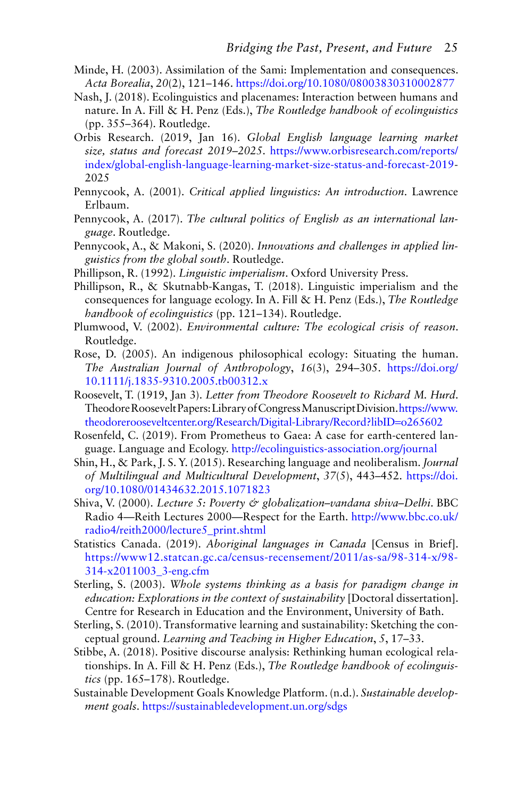- Minde, H. (2003). Assimilation of the Sami: Implementation and consequences. *Acta Borealia*, *20*(2), 121–146. <https://doi.org/10.1080/08003830310002877>
- Nash, J. (2018). Ecolinguistics and placenames: Interaction between humans and nature. In A. Fill & H. Penz (Eds.), *The Routledge handbook of ecolinguistics* (pp. 355–364). Routledge.
- Orbis Research. (2019, Jan 16). *Global English language learning market size, status and forecast 2019–2025*. [https://www.orbisresearch.com/reports/](https://www.orbisresearch.com) [index/global-english-language-learning-market-size-status-and-forecast-2019](https://www.orbisresearch.com)- 2025
- Pennycook, A. (2001). *Critical applied linguistics: An introduction*. Lawrence Erlbaum.
- Pennycook, A. (2017). *The cultural politics of English as an international language*. Routledge.
- Pennycook, A., & Makoni, S. (2020). *Innovations and challenges in applied linguistics from the global south*. Routledge.
- Phillipson, R. (1992). *Linguistic imperialism*. Oxford University Press.
- Phillipson, R., & Skutnabb-Kangas, T. (2018). Linguistic imperialism and the consequences for language ecology. In A. Fill & H. Penz (Eds.), *The Routledge handbook of ecolinguistics* (pp. 121–134). Routledge.
- Plumwood, V. (2002). *Environmental culture: The ecological crisis of reason*. Routledge.
- Rose, D. (2005). An indigenous philosophical ecology: Situating the human. *The Australian Journal of Anthropology*, *16*(3), 294–305. [https://doi.org/](https://doi.org/10.1111/j.1835-9310.2005.tb00312.x) [10.1111/j.1835-9310.2005.tb00312.x](https://doi.org/10.1111/j.1835-9310.2005.tb00312.x)
- Roosevelt, T. (1919, Jan 3). *Letter from Theodore Roosevelt to Richard M. Hurd*. Theodore Roosevelt Papers: Library of Congress Manuscript Division. [https://www.](https://www.theodorerooseveltcenter.org) [theodorerooseveltcenter.org/Research/Digital-Library/Record?libID](https://www.theodorerooseveltcenter.org)=o265602
- Rosenfeld, C. (2019). From Prometheus to Gaea: A case for earth-centered language. Language and Ecology. [http://ecolinguistics-association.org/journal](http://ecolinguistics-association.org)
- Shin, H., & Park, J. S. Y. (2015). Researching language and neoliberalism. *Journal of Multilingual and Multicultural Development*, *37*(5), 443–452. [https://doi.](https://doi.org/10.1080/01434632.2015.1071823) [org/10.1080/01434632.2015.1071823](https://doi.org/10.1080/01434632.2015.1071823)
- Shiva, V. (2000). *Lecture 5: Poverty & globalization–vandana shiva–Delhi*. BBC Radio 4—Reith Lectures 2000—Respect for the Earth. [http://www.bbc.co.uk/](http://www.bbc.co.uk) [radio4/reith2000/lecture5\\_print.shtml](http://www.bbc.co.uk)
- Statistics Canada. (2019). *Aboriginal languages in Canada* [Census in Brief]. [https://www12.statcan.gc.ca/census-recensement/2011/as-sa/98-314-x/98-](https://www12.statcan.gc.ca) [314-x2011003\\_3-eng.cfm](https://www12.statcan.gc.ca)
- Sterling, S. (2003). *Whole systems thinking as a basis for paradigm change in education: Explorations in the context of sustainability* [Doctoral dissertation]. Centre for Research in Education and the Environment, University of Bath.
- Sterling, S. (2010). Transformative learning and sustainability: Sketching the conceptual ground. *Learning and Teaching in Higher Education*, *5*, 17–33.
- Stibbe, A. (2018). Positive discourse analysis: Rethinking human ecological relationships. In A. Fill & H. Penz (Eds.), *The Routledge handbook of ecolinguistics* (pp. 165–178). Routledge.
- Sustainable Development Goals Knowledge Platform. (n.d.). *Sustainable development goals*. [https://sustainabledevelopment.un.org/sdgs](https://sustainabledevelopment.un.org)